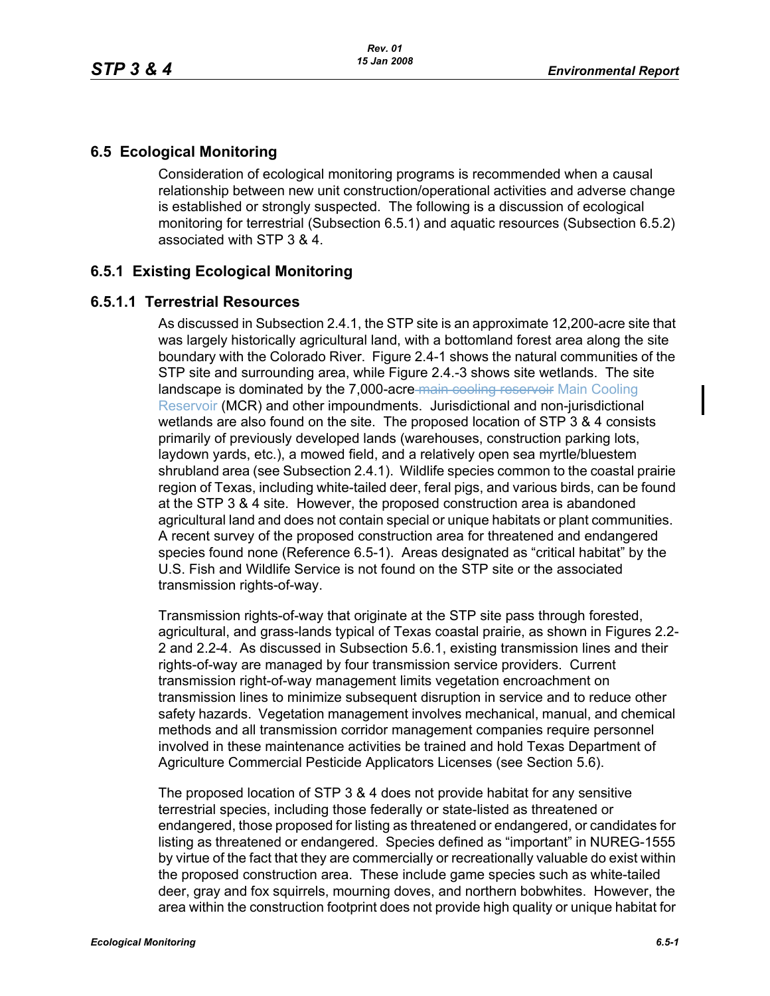# **6.5 Ecological Monitoring**

Consideration of ecological monitoring programs is recommended when a causal relationship between new unit construction/operational activities and adverse change is established or strongly suspected. The following is a discussion of ecological monitoring for terrestrial (Subsection 6.5.1) and aquatic resources (Subsection 6.5.2) associated with STP 3 & 4.

## **6.5.1 Existing Ecological Monitoring**

## **6.5.1.1 Terrestrial Resources**

As discussed in Subsection 2.4.1, the STP site is an approximate 12,200-acre site that was largely historically agricultural land, with a bottomland forest area along the site boundary with the Colorado River. Figure 2.4-1 shows the natural communities of the STP site and surrounding area, while Figure 2.4.-3 shows site wetlands. The site landscape is dominated by the 7,000-acre-main cooling reservoir Main Cooling Reservoir (MCR) and other impoundments. Jurisdictional and non-jurisdictional wetlands are also found on the site. The proposed location of STP 3 & 4 consists primarily of previously developed lands (warehouses, construction parking lots, laydown yards, etc.), a mowed field, and a relatively open sea myrtle/bluestem shrubland area (see Subsection 2.4.1). Wildlife species common to the coastal prairie region of Texas, including white-tailed deer, feral pigs, and various birds, can be found at the STP 3 & 4 site. However, the proposed construction area is abandoned agricultural land and does not contain special or unique habitats or plant communities. A recent survey of the proposed construction area for threatened and endangered species found none (Reference 6.5-1). Areas designated as "critical habitat" by the U.S. Fish and Wildlife Service is not found on the STP site or the associated transmission rights-of-way.

Transmission rights-of-way that originate at the STP site pass through forested, agricultural, and grass-lands typical of Texas coastal prairie, as shown in Figures 2.2- 2 and 2.2-4. As discussed in Subsection 5.6.1, existing transmission lines and their rights-of-way are managed by four transmission service providers. Current transmission right-of-way management limits vegetation encroachment on transmission lines to minimize subsequent disruption in service and to reduce other safety hazards. Vegetation management involves mechanical, manual, and chemical methods and all transmission corridor management companies require personnel involved in these maintenance activities be trained and hold Texas Department of Agriculture Commercial Pesticide Applicators Licenses (see Section 5.6).

The proposed location of STP 3 & 4 does not provide habitat for any sensitive terrestrial species, including those federally or state-listed as threatened or endangered, those proposed for listing as threatened or endangered, or candidates for listing as threatened or endangered. Species defined as "important" in NUREG-1555 by virtue of the fact that they are commercially or recreationally valuable do exist within the proposed construction area. These include game species such as white-tailed deer, gray and fox squirrels, mourning doves, and northern bobwhites. However, the area within the construction footprint does not provide high quality or unique habitat for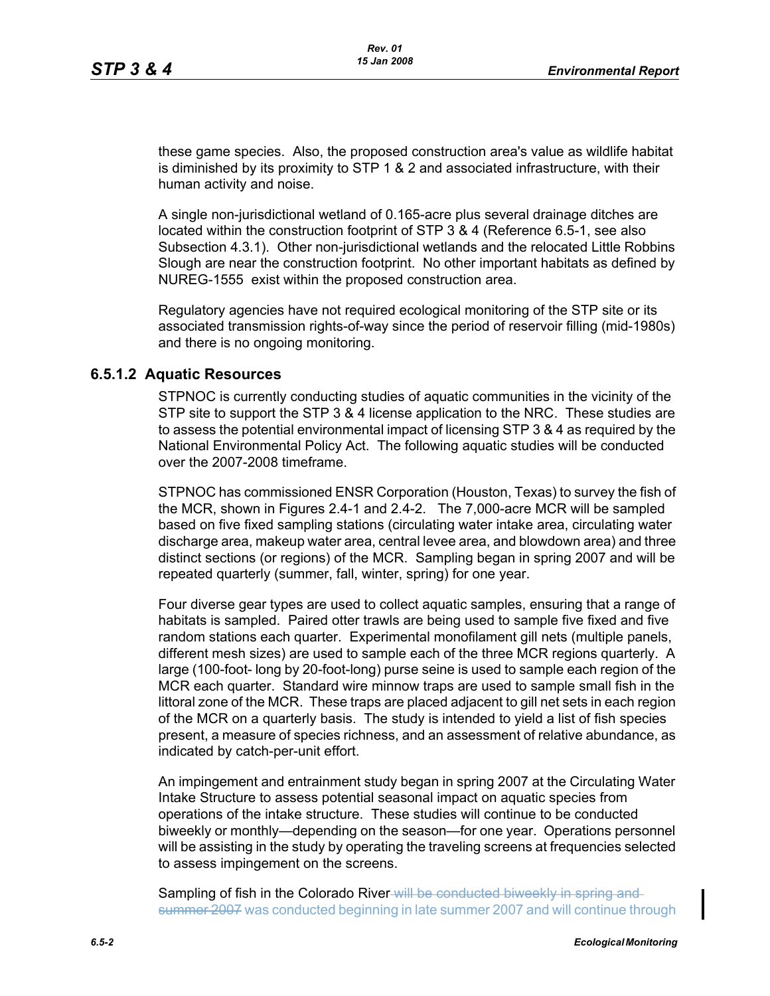these game species. Also, the proposed construction area's value as wildlife habitat is diminished by its proximity to STP 1 & 2 and associated infrastructure, with their human activity and noise.

A single non-jurisdictional wetland of 0.165-acre plus several drainage ditches are located within the construction footprint of STP 3 & 4 (Reference 6.5-1, see also Subsection 4.3.1). Other non-jurisdictional wetlands and the relocated Little Robbins Slough are near the construction footprint. No other important habitats as defined by NUREG-1555 exist within the proposed construction area.

Regulatory agencies have not required ecological monitoring of the STP site or its associated transmission rights-of-way since the period of reservoir filling (mid-1980s) and there is no ongoing monitoring.

#### **6.5.1.2 Aquatic Resources**

STPNOC is currently conducting studies of aquatic communities in the vicinity of the STP site to support the STP 3 & 4 license application to the NRC. These studies are to assess the potential environmental impact of licensing STP 3 & 4 as required by the National Environmental Policy Act. The following aquatic studies will be conducted over the 2007-2008 timeframe.

STPNOC has commissioned ENSR Corporation (Houston, Texas) to survey the fish of the MCR, shown in Figures 2.4-1 and 2.4-2. The 7,000-acre MCR will be sampled based on five fixed sampling stations (circulating water intake area, circulating water discharge area, makeup water area, central levee area, and blowdown area) and three distinct sections (or regions) of the MCR. Sampling began in spring 2007 and will be repeated quarterly (summer, fall, winter, spring) for one year.

Four diverse gear types are used to collect aquatic samples, ensuring that a range of habitats is sampled. Paired otter trawls are being used to sample five fixed and five random stations each quarter. Experimental monofilament gill nets (multiple panels, different mesh sizes) are used to sample each of the three MCR regions quarterly. A large (100-foot- long by 20-foot-long) purse seine is used to sample each region of the MCR each quarter. Standard wire minnow traps are used to sample small fish in the littoral zone of the MCR. These traps are placed adjacent to gill net sets in each region of the MCR on a quarterly basis. The study is intended to yield a list of fish species present, a measure of species richness, and an assessment of relative abundance, as indicated by catch-per-unit effort.

An impingement and entrainment study began in spring 2007 at the Circulating Water Intake Structure to assess potential seasonal impact on aquatic species from operations of the intake structure. These studies will continue to be conducted biweekly or monthly—depending on the season—for one year. Operations personnel will be assisting in the study by operating the traveling screens at frequencies selected to assess impingement on the screens.

Sampling of fish in the Colorado River will be conducted biweekly in spring and summer 2007 was conducted beginning in late summer 2007 and will continue through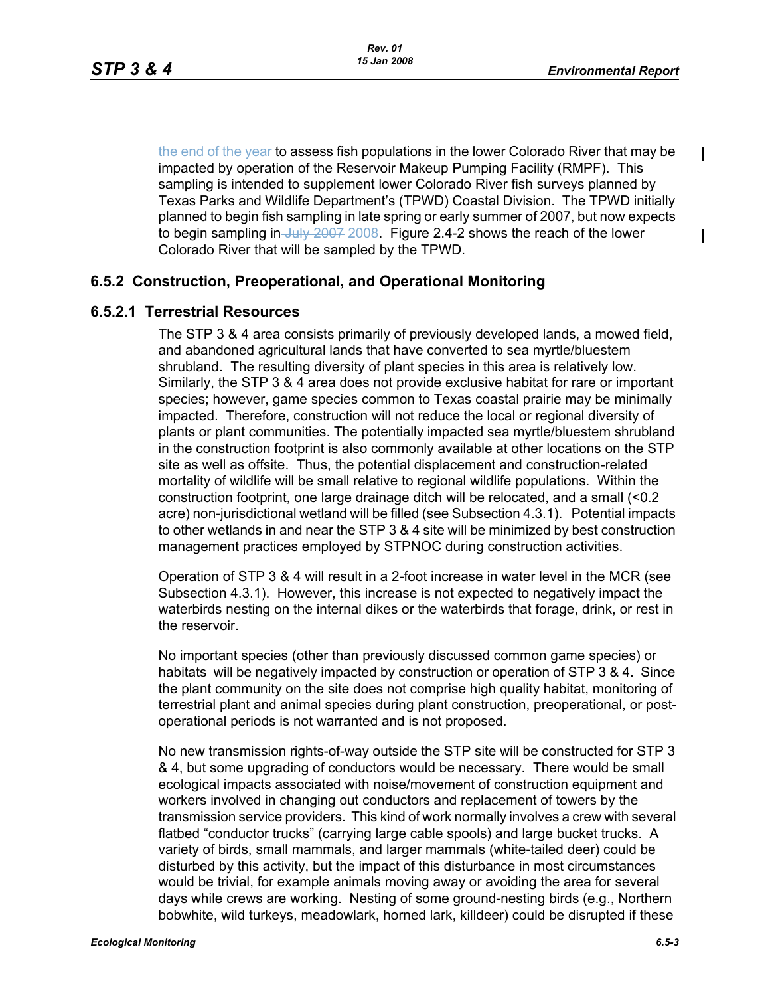П

 $\blacksquare$ 

the end of the year to assess fish populations in the lower Colorado River that may be impacted by operation of the Reservoir Makeup Pumping Facility (RMPF). This sampling is intended to supplement lower Colorado River fish surveys planned by Texas Parks and Wildlife Department's (TPWD) Coastal Division. The TPWD initially planned to begin fish sampling in late spring or early summer of 2007, but now expects to begin sampling in  $J_{\text{u}}$   $\mu$   $2007$  2008. Figure 2.4-2 shows the reach of the lower Colorado River that will be sampled by the TPWD.

## **6.5.2 Construction, Preoperational, and Operational Monitoring**

#### **6.5.2.1 Terrestrial Resources**

The STP 3 & 4 area consists primarily of previously developed lands, a mowed field, and abandoned agricultural lands that have converted to sea myrtle/bluestem shrubland. The resulting diversity of plant species in this area is relatively low. Similarly, the STP 3 & 4 area does not provide exclusive habitat for rare or important species; however, game species common to Texas coastal prairie may be minimally impacted. Therefore, construction will not reduce the local or regional diversity of plants or plant communities. The potentially impacted sea myrtle/bluestem shrubland in the construction footprint is also commonly available at other locations on the STP site as well as offsite. Thus, the potential displacement and construction-related mortality of wildlife will be small relative to regional wildlife populations. Within the construction footprint, one large drainage ditch will be relocated, and a small (<0.2 acre) non-jurisdictional wetland will be filled (see Subsection 4.3.1). Potential impacts to other wetlands in and near the STP 3 & 4 site will be minimized by best construction management practices employed by STPNOC during construction activities.

Operation of STP 3 & 4 will result in a 2-foot increase in water level in the MCR (see Subsection 4.3.1). However, this increase is not expected to negatively impact the waterbirds nesting on the internal dikes or the waterbirds that forage, drink, or rest in the reservoir.

No important species (other than previously discussed common game species) or habitats will be negatively impacted by construction or operation of STP 3 & 4. Since the plant community on the site does not comprise high quality habitat, monitoring of terrestrial plant and animal species during plant construction, preoperational, or postoperational periods is not warranted and is not proposed.

No new transmission rights-of-way outside the STP site will be constructed for STP 3 & 4, but some upgrading of conductors would be necessary. There would be small ecological impacts associated with noise/movement of construction equipment and workers involved in changing out conductors and replacement of towers by the transmission service providers. This kind of work normally involves a crew with several flatbed "conductor trucks" (carrying large cable spools) and large bucket trucks. A variety of birds, small mammals, and larger mammals (white-tailed deer) could be disturbed by this activity, but the impact of this disturbance in most circumstances would be trivial, for example animals moving away or avoiding the area for several days while crews are working. Nesting of some ground-nesting birds (e.g., Northern bobwhite, wild turkeys, meadowlark, horned lark, killdeer) could be disrupted if these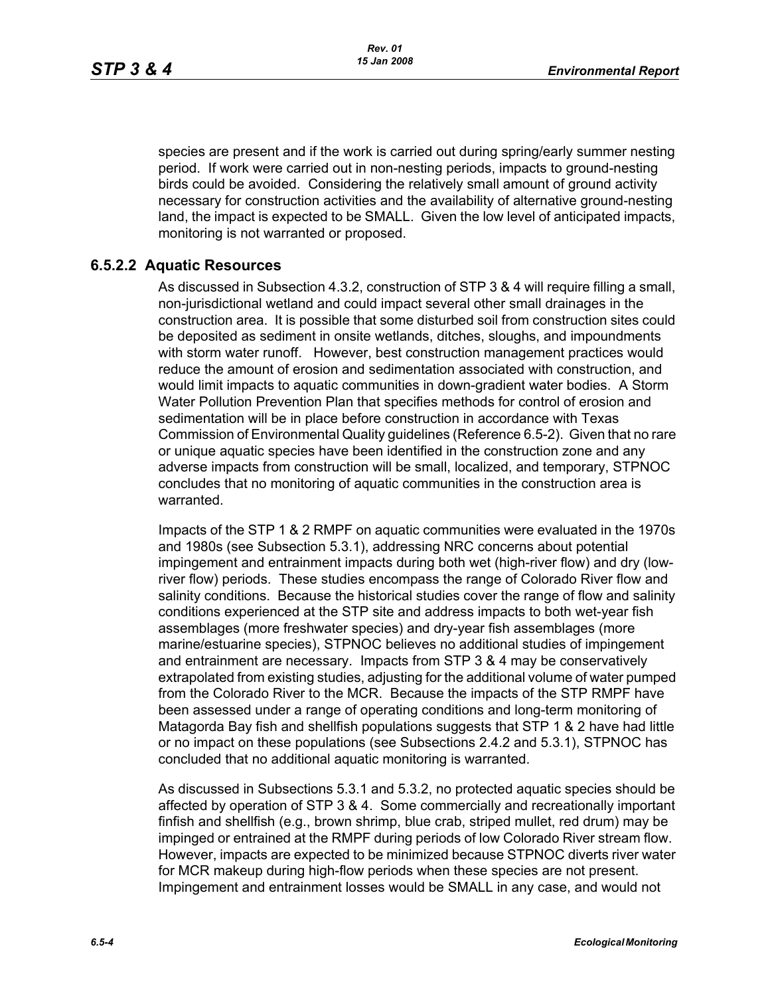species are present and if the work is carried out during spring/early summer nesting period. If work were carried out in non-nesting periods, impacts to ground-nesting birds could be avoided. Considering the relatively small amount of ground activity necessary for construction activities and the availability of alternative ground-nesting land, the impact is expected to be SMALL. Given the low level of anticipated impacts, monitoring is not warranted or proposed.

#### **6.5.2.2 Aquatic Resources**

As discussed in Subsection 4.3.2, construction of STP 3 & 4 will require filling a small, non-jurisdictional wetland and could impact several other small drainages in the construction area. It is possible that some disturbed soil from construction sites could be deposited as sediment in onsite wetlands, ditches, sloughs, and impoundments with storm water runoff. However, best construction management practices would reduce the amount of erosion and sedimentation associated with construction, and would limit impacts to aquatic communities in down-gradient water bodies. A Storm Water Pollution Prevention Plan that specifies methods for control of erosion and sedimentation will be in place before construction in accordance with Texas Commission of Environmental Quality guidelines (Reference 6.5-2). Given that no rare or unique aquatic species have been identified in the construction zone and any adverse impacts from construction will be small, localized, and temporary, STPNOC concludes that no monitoring of aquatic communities in the construction area is warranted.

Impacts of the STP 1 & 2 RMPF on aquatic communities were evaluated in the 1970s and 1980s (see Subsection 5.3.1), addressing NRC concerns about potential impingement and entrainment impacts during both wet (high-river flow) and dry (lowriver flow) periods. These studies encompass the range of Colorado River flow and salinity conditions. Because the historical studies cover the range of flow and salinity conditions experienced at the STP site and address impacts to both wet-year fish assemblages (more freshwater species) and dry-year fish assemblages (more marine/estuarine species), STPNOC believes no additional studies of impingement and entrainment are necessary. Impacts from STP 3 & 4 may be conservatively extrapolated from existing studies, adjusting for the additional volume of water pumped from the Colorado River to the MCR. Because the impacts of the STP RMPF have been assessed under a range of operating conditions and long-term monitoring of Matagorda Bay fish and shellfish populations suggests that STP 1 & 2 have had little or no impact on these populations (see Subsections 2.4.2 and 5.3.1), STPNOC has concluded that no additional aquatic monitoring is warranted.

As discussed in Subsections 5.3.1 and 5.3.2, no protected aquatic species should be affected by operation of STP 3 & 4. Some commercially and recreationally important finfish and shellfish (e.g., brown shrimp, blue crab, striped mullet, red drum) may be impinged or entrained at the RMPF during periods of low Colorado River stream flow. However, impacts are expected to be minimized because STPNOC diverts river water for MCR makeup during high-flow periods when these species are not present. Impingement and entrainment losses would be SMALL in any case, and would not